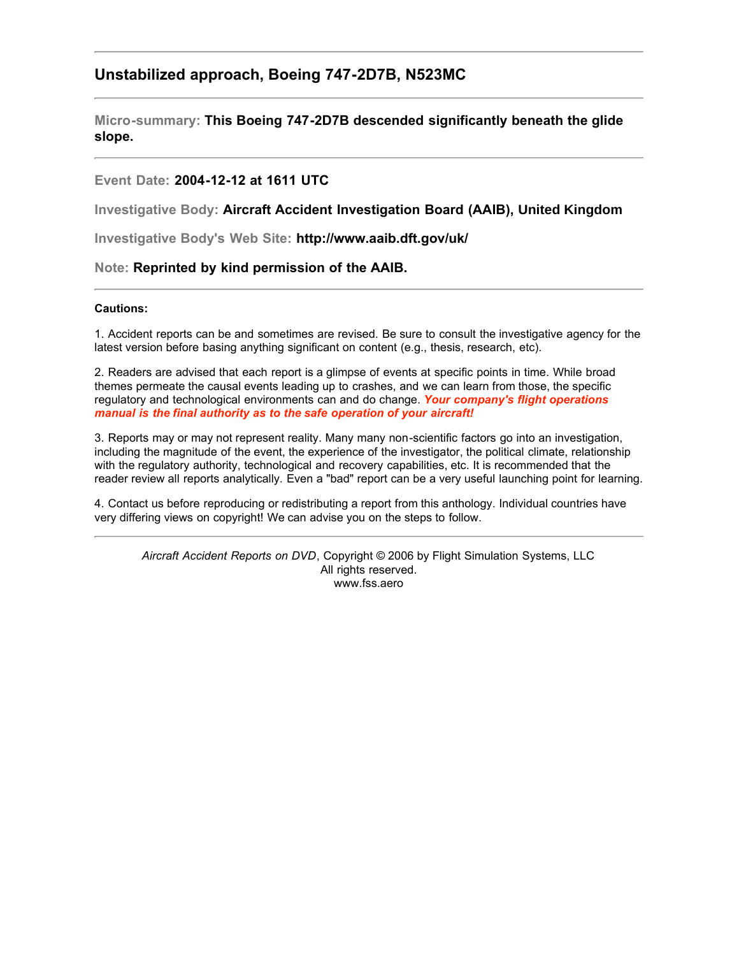# **Unstabilized approach, Boeing 747-2D7B, N523MC**

**Micro-summary: This Boeing 747-2D7B descended significantly beneath the glide slope.**

# **Event Date: 2004-12-12 at 1611 UTC**

**Investigative Body: Aircraft Accident Investigation Board (AAIB), United Kingdom**

**Investigative Body's Web Site: http://www.aaib.dft.gov/uk/**

# **Note: Reprinted by kind permission of the AAIB.**

#### **Cautions:**

1. Accident reports can be and sometimes are revised. Be sure to consult the investigative agency for the latest version before basing anything significant on content (e.g., thesis, research, etc).

2. Readers are advised that each report is a glimpse of events at specific points in time. While broad themes permeate the causal events leading up to crashes, and we can learn from those, the specific regulatory and technological environments can and do change. *Your company's flight operations manual is the final authority as to the safe operation of your aircraft!*

3. Reports may or may not represent reality. Many many non-scientific factors go into an investigation, including the magnitude of the event, the experience of the investigator, the political climate, relationship with the regulatory authority, technological and recovery capabilities, etc. It is recommended that the reader review all reports analytically. Even a "bad" report can be a very useful launching point for learning.

4. Contact us before reproducing or redistributing a report from this anthology. Individual countries have very differing views on copyright! We can advise you on the steps to follow.

*Aircraft Accident Reports on DVD*, Copyright © 2006 by Flight Simulation Systems, LLC All rights reserved. www.fss.aero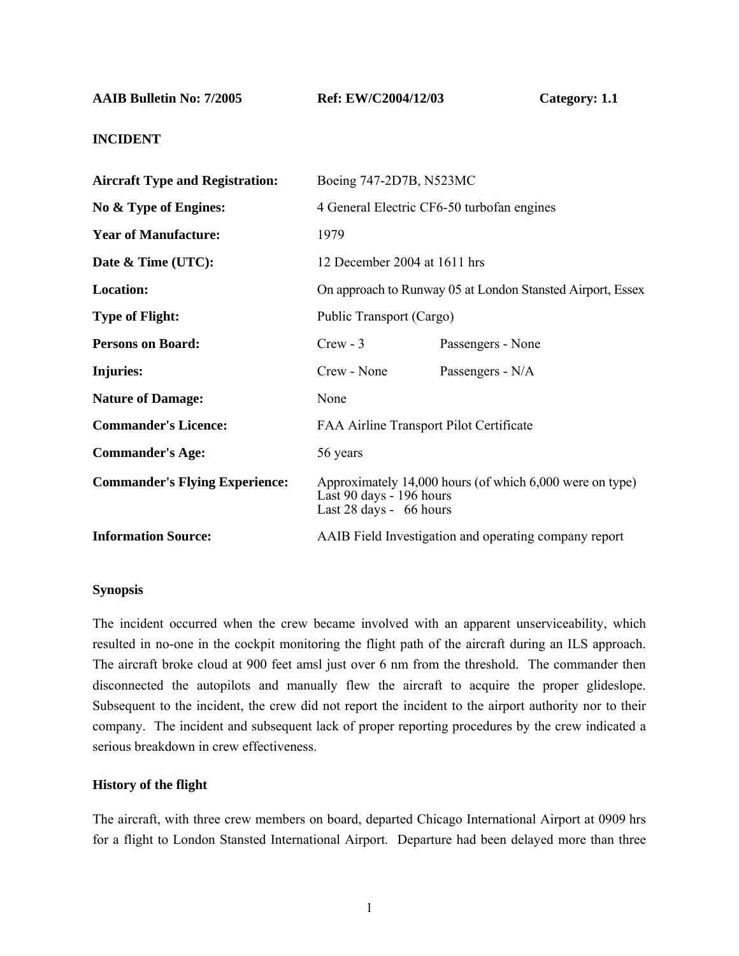**AAIB Bulletin No: 7/2005 Ref: EW/C2004/12/03 Category: 1.1** 

# **INCIDENT**

| 4 General Electric CF6-50 turbofan engines                                                                      |  |
|-----------------------------------------------------------------------------------------------------------------|--|
|                                                                                                                 |  |
|                                                                                                                 |  |
| On approach to Runway 05 at London Stansted Airport, Essex                                                      |  |
|                                                                                                                 |  |
|                                                                                                                 |  |
|                                                                                                                 |  |
|                                                                                                                 |  |
|                                                                                                                 |  |
|                                                                                                                 |  |
| Approximately 14,000 hours (of which 6,000 were on type)<br>Last 90 days - 196 hours<br>Last 28 days - 66 hours |  |
| AAIB Field Investigation and operating company report                                                           |  |
|                                                                                                                 |  |

### **Synopsis**

The incident occurred when the crew became involved with an apparent unserviceability, which resulted in no-one in the cockpit monitoring the flight path of the aircraft during an ILS approach. The aircraft broke cloud at 900 feet amsl just over 6 nm from the threshold. The commander then disconnected the autopilots and manually flew the aircraft to acquire the proper glideslope. Subsequent to the incident, the crew did not report the incident to the airport authority nor to their company. The incident and subsequent lack of proper reporting procedures by the crew indicated a serious breakdown in crew effectiveness.

# **History of the flight**

The aircraft, with three crew members on board, departed Chicago International Airport at 0909 hrs for a flight to London Stansted International Airport. Departure had been delayed more than three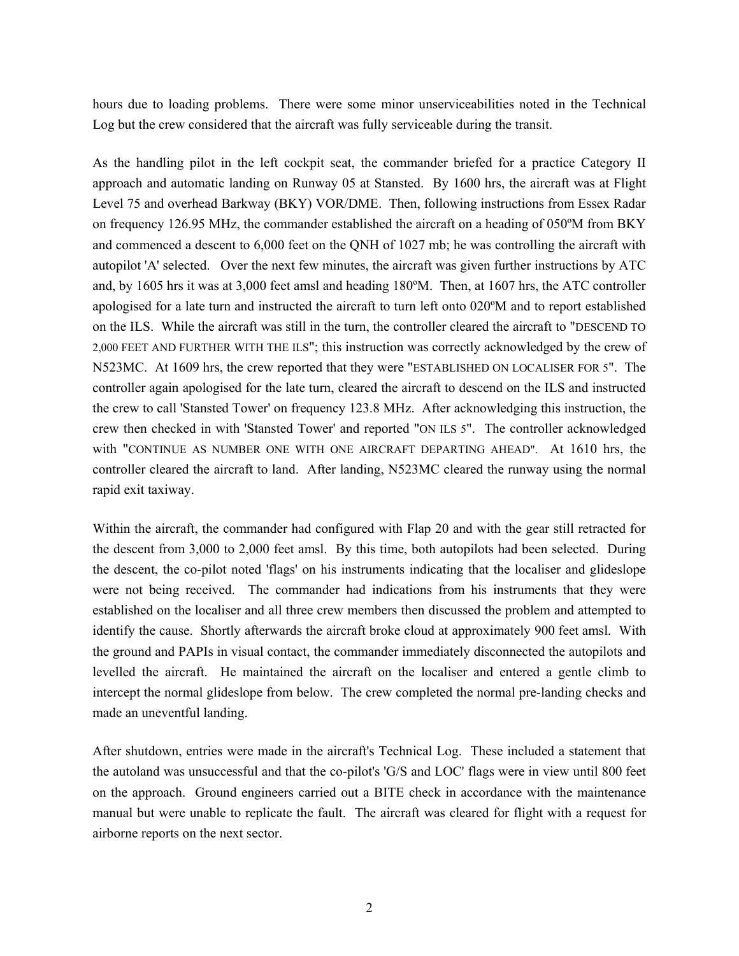hours due to loading problems. There were some minor unserviceabilities noted in the Technical Log but the crew considered that the aircraft was fully serviceable during the transit.

As the handling pilot in the left cockpit seat, the commander briefed for a practice Category II approach and automatic landing on Runway 05 at Stansted. By 1600 hrs, the aircraft was at Flight Level 75 and overhead Barkway (BKY) VOR/DME. Then, following instructions from Essex Radar on frequency 126.95 MHz, the commander established the aircraft on a heading of 050ºM from BKY and commenced a descent to 6,000 feet on the QNH of 1027 mb; he was controlling the aircraft with autopilot 'A' selected. Over the next few minutes, the aircraft was given further instructions by ATC and, by 1605 hrs it was at 3,000 feet amsl and heading 180ºM. Then, at 1607 hrs, the ATC controller apologised for a late turn and instructed the aircraft to turn left onto 020ºM and to report established on the ILS. While the aircraft was still in the turn, the controller cleared the aircraft to "DESCEND TO 2,000 FEET AND FURTHER WITH THE ILS"; this instruction was correctly acknowledged by the crew of N523MC. At 1609 hrs, the crew reported that they were "ESTABLISHED ON LOCALISER FOR 5". The controller again apologised for the late turn, cleared the aircraft to descend on the ILS and instructed the crew to call 'Stansted Tower' on frequency 123.8 MHz. After acknowledging this instruction, the crew then checked in with 'Stansted Tower' and reported "ON ILS 5". The controller acknowledged with "CONTINUE AS NUMBER ONE WITH ONE AIRCRAFT DEPARTING AHEAD". At 1610 hrs, the controller cleared the aircraft to land. After landing, N523MC cleared the runway using the normal rapid exit taxiway.

Within the aircraft, the commander had configured with Flap 20 and with the gear still retracted for the descent from 3,000 to 2,000 feet amsl. By this time, both autopilots had been selected. During the descent, the co-pilot noted 'flags' on his instruments indicating that the localiser and glideslope were not being received. The commander had indications from his instruments that they were established on the localiser and all three crew members then discussed the problem and attempted to identify the cause. Shortly afterwards the aircraft broke cloud at approximately 900 feet amsl. With the ground and PAPIs in visual contact, the commander immediately disconnected the autopilots and levelled the aircraft. He maintained the aircraft on the localiser and entered a gentle climb to intercept the normal glideslope from below. The crew completed the normal pre-landing checks and made an uneventful landing.

After shutdown, entries were made in the aircraft's Technical Log. These included a statement that the autoland was unsuccessful and that the co-pilot's 'G/S and LOC' flags were in view until 800 feet on the approach. Ground engineers carried out a BITE check in accordance with the maintenance manual but were unable to replicate the fault. The aircraft was cleared for flight with a request for airborne reports on the next sector.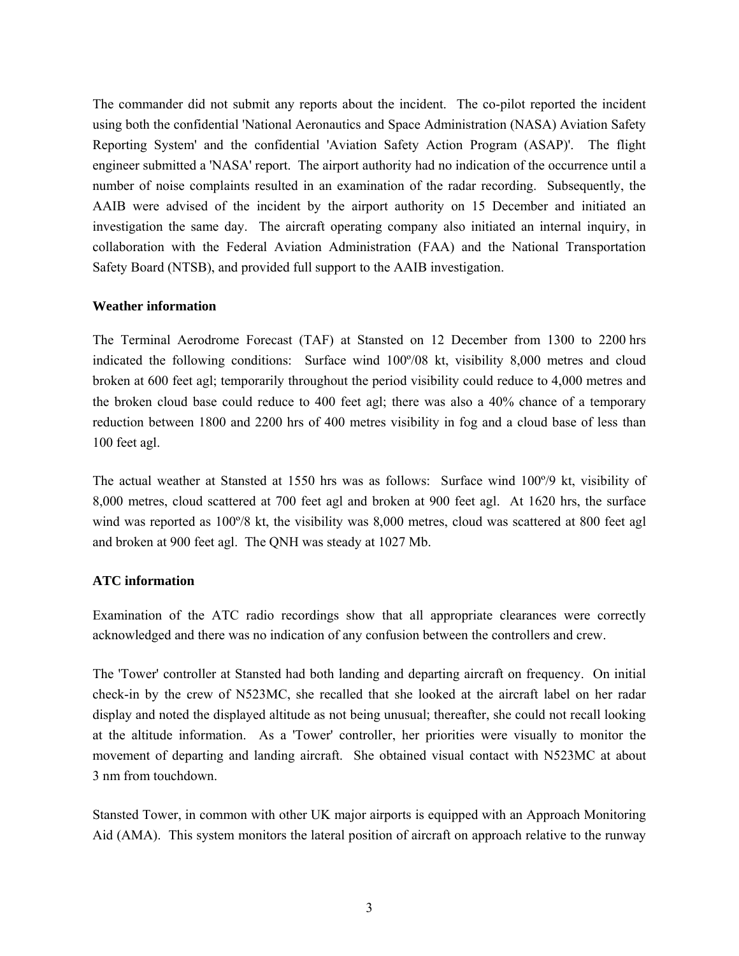The commander did not submit any reports about the incident. The co-pilot reported the incident using both the confidential 'National Aeronautics and Space Administration (NASA) Aviation Safety Reporting System' and the confidential 'Aviation Safety Action Program (ASAP)'. The flight engineer submitted a 'NASA' report. The airport authority had no indication of the occurrence until a number of noise complaints resulted in an examination of the radar recording. Subsequently, the AAIB were advised of the incident by the airport authority on 15 December and initiated an investigation the same day. The aircraft operating company also initiated an internal inquiry, in collaboration with the Federal Aviation Administration (FAA) and the National Transportation Safety Board (NTSB), and provided full support to the AAIB investigation.

## **Weather information**

The Terminal Aerodrome Forecast (TAF) at Stansted on 12 December from 1300 to 2200 hrs indicated the following conditions: Surface wind 100º/08 kt, visibility 8,000 metres and cloud broken at 600 feet agl; temporarily throughout the period visibility could reduce to 4,000 metres and the broken cloud base could reduce to 400 feet agl; there was also a 40% chance of a temporary reduction between 1800 and 2200 hrs of 400 metres visibility in fog and a cloud base of less than 100 feet agl.

The actual weather at Stansted at 1550 hrs was as follows: Surface wind 100º/9 kt, visibility of 8,000 metres, cloud scattered at 700 feet agl and broken at 900 feet agl. At 1620 hrs, the surface wind was reported as 100º/8 kt, the visibility was 8,000 metres, cloud was scattered at 800 feet agl and broken at 900 feet agl. The QNH was steady at 1027 Mb.

## **ATC information**

Examination of the ATC radio recordings show that all appropriate clearances were correctly acknowledged and there was no indication of any confusion between the controllers and crew.

The 'Tower' controller at Stansted had both landing and departing aircraft on frequency. On initial check-in by the crew of N523MC, she recalled that she looked at the aircraft label on her radar display and noted the displayed altitude as not being unusual; thereafter, she could not recall looking at the altitude information. As a 'Tower' controller, her priorities were visually to monitor the movement of departing and landing aircraft. She obtained visual contact with N523MC at about 3 nm from touchdown.

Stansted Tower, in common with other UK major airports is equipped with an Approach Monitoring Aid (AMA). This system monitors the lateral position of aircraft on approach relative to the runway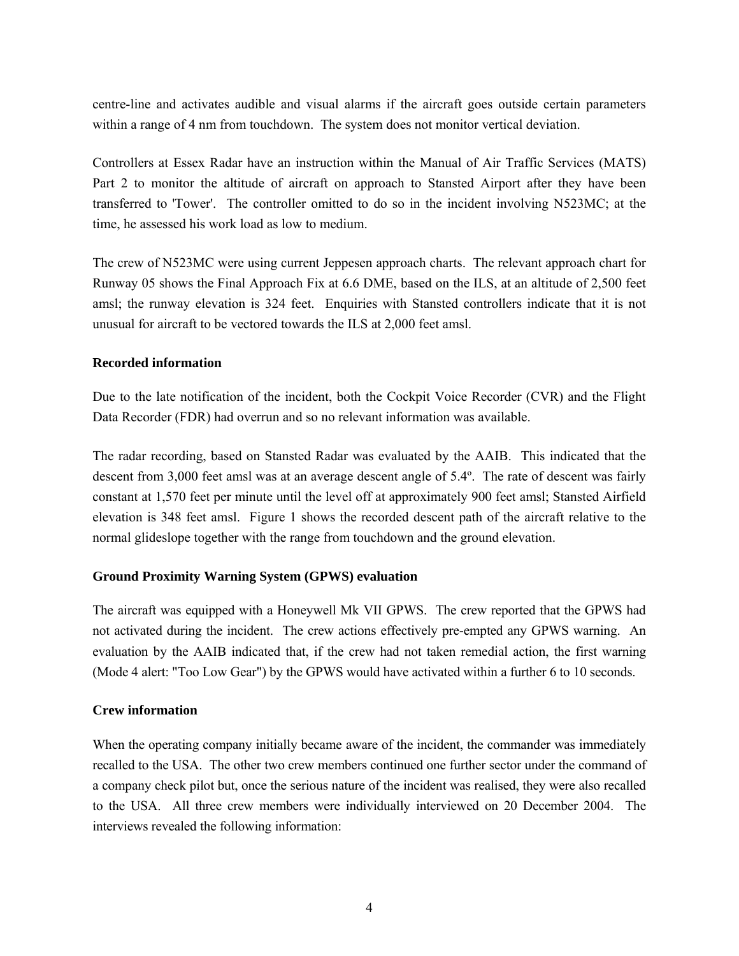centre-line and activates audible and visual alarms if the aircraft goes outside certain parameters within a range of 4 nm from touchdown. The system does not monitor vertical deviation.

Controllers at Essex Radar have an instruction within the Manual of Air Traffic Services (MATS) Part 2 to monitor the altitude of aircraft on approach to Stansted Airport after they have been transferred to 'Tower'. The controller omitted to do so in the incident involving N523MC; at the time, he assessed his work load as low to medium.

The crew of N523MC were using current Jeppesen approach charts. The relevant approach chart for Runway 05 shows the Final Approach Fix at 6.6 DME, based on the ILS, at an altitude of 2,500 feet amsl; the runway elevation is 324 feet. Enquiries with Stansted controllers indicate that it is not unusual for aircraft to be vectored towards the ILS at 2,000 feet amsl.

## **Recorded information**

Due to the late notification of the incident, both the Cockpit Voice Recorder (CVR) and the Flight Data Recorder (FDR) had overrun and so no relevant information was available.

The radar recording, based on Stansted Radar was evaluated by the AAIB. This indicated that the descent from 3,000 feet amsl was at an average descent angle of 5.4º. The rate of descent was fairly constant at 1,570 feet per minute until the level off at approximately 900 feet amsl; Stansted Airfield elevation is 348 feet amsl. Figure 1 shows the recorded descent path of the aircraft relative to the normal glideslope together with the range from touchdown and the ground elevation.

### **Ground Proximity Warning System (GPWS) evaluation**

The aircraft was equipped with a Honeywell Mk VII GPWS. The crew reported that the GPWS had not activated during the incident. The crew actions effectively pre-empted any GPWS warning. An evaluation by the AAIB indicated that, if the crew had not taken remedial action, the first warning (Mode 4 alert: "Too Low Gear") by the GPWS would have activated within a further 6 to 10 seconds.

## **Crew information**

When the operating company initially became aware of the incident, the commander was immediately recalled to the USA. The other two crew members continued one further sector under the command of a company check pilot but, once the serious nature of the incident was realised, they were also recalled to the USA. All three crew members were individually interviewed on 20 December 2004. The interviews revealed the following information: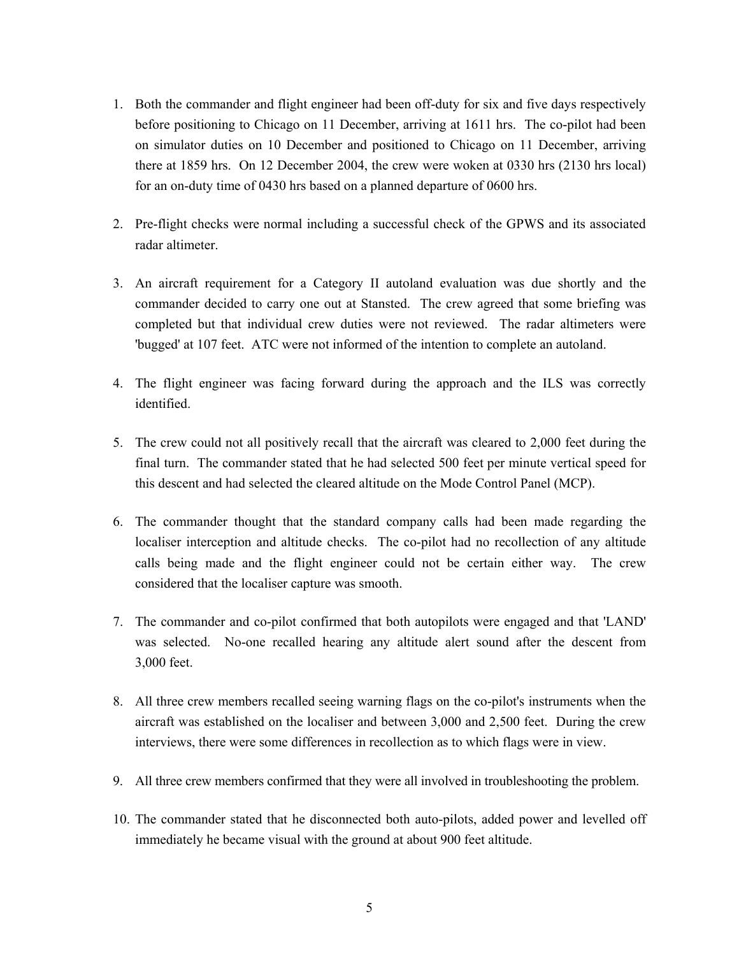- 1. Both the commander and flight engineer had been off-duty for six and five days respectively before positioning to Chicago on 11 December, arriving at 1611 hrs. The co-pilot had been on simulator duties on 10 December and positioned to Chicago on 11 December, arriving there at 1859 hrs. On 12 December 2004, the crew were woken at 0330 hrs (2130 hrs local) for an on-duty time of 0430 hrs based on a planned departure of 0600 hrs.
- 2. Pre-flight checks were normal including a successful check of the GPWS and its associated radar altimeter.
- 3. An aircraft requirement for a Category II autoland evaluation was due shortly and the commander decided to carry one out at Stansted. The crew agreed that some briefing was completed but that individual crew duties were not reviewed. The radar altimeters were 'bugged' at 107 feet. ATC were not informed of the intention to complete an autoland.
- 4. The flight engineer was facing forward during the approach and the ILS was correctly identified.
- 5. The crew could not all positively recall that the aircraft was cleared to 2,000 feet during the final turn. The commander stated that he had selected 500 feet per minute vertical speed for this descent and had selected the cleared altitude on the Mode Control Panel (MCP).
- 6. The commander thought that the standard company calls had been made regarding the localiser interception and altitude checks. The co-pilot had no recollection of any altitude calls being made and the flight engineer could not be certain either way. The crew considered that the localiser capture was smooth.
- 7. The commander and co-pilot confirmed that both autopilots were engaged and that 'LAND' was selected. No-one recalled hearing any altitude alert sound after the descent from 3,000 feet.
- 8. All three crew members recalled seeing warning flags on the co-pilot's instruments when the aircraft was established on the localiser and between 3,000 and 2,500 feet. During the crew interviews, there were some differences in recollection as to which flags were in view.
- 9. All three crew members confirmed that they were all involved in troubleshooting the problem.
- 10. The commander stated that he disconnected both auto-pilots, added power and levelled off immediately he became visual with the ground at about 900 feet altitude.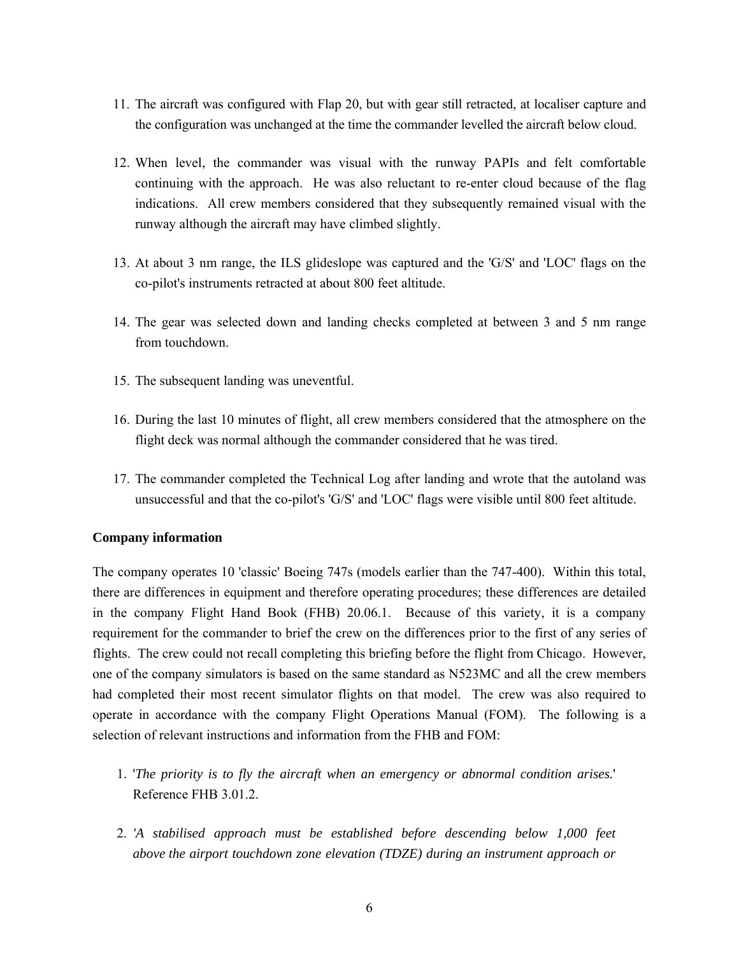- 11. The aircraft was configured with Flap 20, but with gear still retracted, at localiser capture and the configuration was unchanged at the time the commander levelled the aircraft below cloud.
- 12. When level, the commander was visual with the runway PAPIs and felt comfortable continuing with the approach. He was also reluctant to re-enter cloud because of the flag indications. All crew members considered that they subsequently remained visual with the runway although the aircraft may have climbed slightly.
- 13. At about 3 nm range, the ILS glideslope was captured and the 'G/S' and 'LOC' flags on the co-pilot's instruments retracted at about 800 feet altitude.
- 14. The gear was selected down and landing checks completed at between 3 and 5 nm range from touchdown.
- 15. The subsequent landing was uneventful.
- 16. During the last 10 minutes of flight, all crew members considered that the atmosphere on the flight deck was normal although the commander considered that he was tired.
- 17. The commander completed the Technical Log after landing and wrote that the autoland was unsuccessful and that the co-pilot's 'G/S' and 'LOC' flags were visible until 800 feet altitude.

# **Company information**

The company operates 10 'classic' Boeing 747s (models earlier than the 747-400). Within this total, there are differences in equipment and therefore operating procedures; these differences are detailed in the company Flight Hand Book (FHB) 20.06.1. Because of this variety, it is a company requirement for the commander to brief the crew on the differences prior to the first of any series of flights. The crew could not recall completing this briefing before the flight from Chicago. However, one of the company simulators is based on the same standard as N523MC and all the crew members had completed their most recent simulator flights on that model. The crew was also required to operate in accordance with the company Flight Operations Manual (FOM). The following is a selection of relevant instructions and information from the FHB and FOM:

- 1. '*The priority is to fly the aircraft when an emergency or abnormal condition arises.*' Reference FHB 3.01.2.
- 2. *'A stabilised approach must be established before descending below 1,000 feet above the airport touchdown zone elevation (TDZE) during an instrument approach or*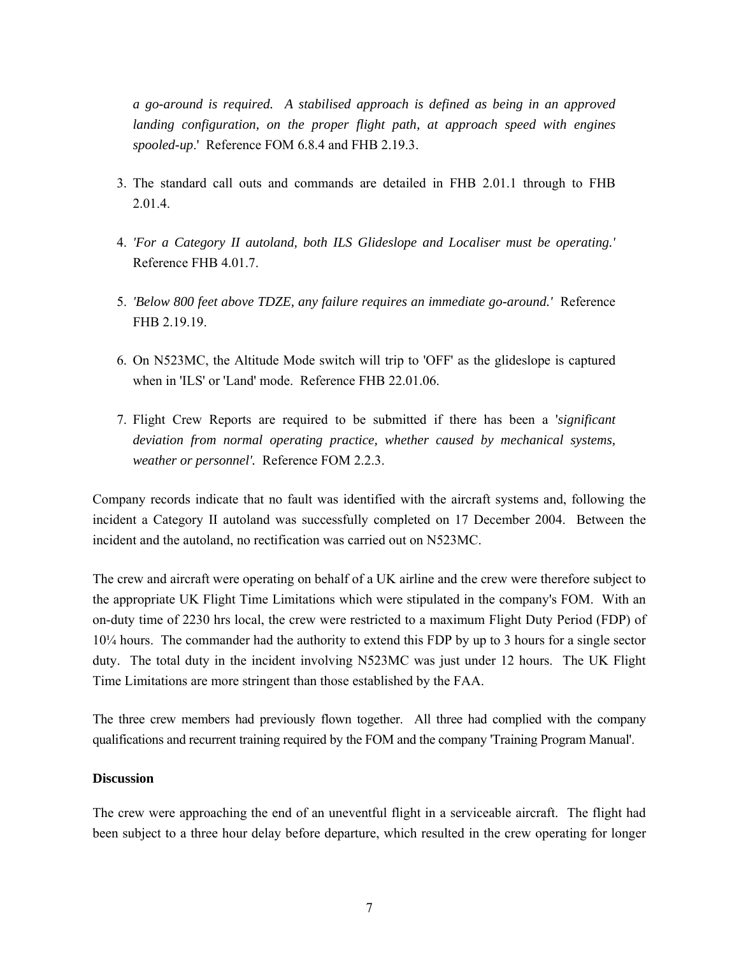*a go-around is required. A stabilised approach is defined as being in an approved landing configuration, on the proper flight path, at approach speed with engines spooled-up*.' Reference FOM 6.8.4 and FHB 2.19.3.

- 3. The standard call outs and commands are detailed in FHB 2.01.1 through to FHB 2.01.4.
- 4. *'For a Category II autoland, both ILS Glideslope and Localiser must be operating.'* Reference FHB 4.01.7.
- 5. *'Below 800 feet above TDZE, any failure requires an immediate go-around.'* Reference FHB 2.19.19.
- 6. On N523MC, the Altitude Mode switch will trip to 'OFF' as the glideslope is captured when in 'ILS' or 'Land' mode. Reference FHB 22.01.06.
- 7. Flight Crew Reports are required to be submitted if there has been a '*significant*  deviation from normal operating practice, whether caused by mechanical systems, *weather or personnel'.* Reference FOM 2.2.3.

Company records indicate that no fault was identified with the aircraft systems and, following the incident a Category II autoland was successfully completed on 17 December 2004. Between the incident and the autoland, no rectification was carried out on N523MC.

The crew and aircraft were operating on behalf of a UK airline and the crew were therefore subject to the appropriate UK Flight Time Limitations which were stipulated in the company's FOM. With an on-duty time of 2230 hrs local, the crew were restricted to a maximum Flight Duty Period (FDP) of 10¼ hours. The commander had the authority to extend this FDP by up to 3 hours for a single sector duty. The total duty in the incident involving N523MC was just under 12 hours. The UK Flight Time Limitations are more stringent than those established by the FAA.

The three crew members had previously flown together. All three had complied with the company qualifications and recurrent training required by the FOM and the company 'Training Program Manual'.

# **Discussion**

The crew were approaching the end of an uneventful flight in a serviceable aircraft. The flight had been subject to a three hour delay before departure, which resulted in the crew operating for longer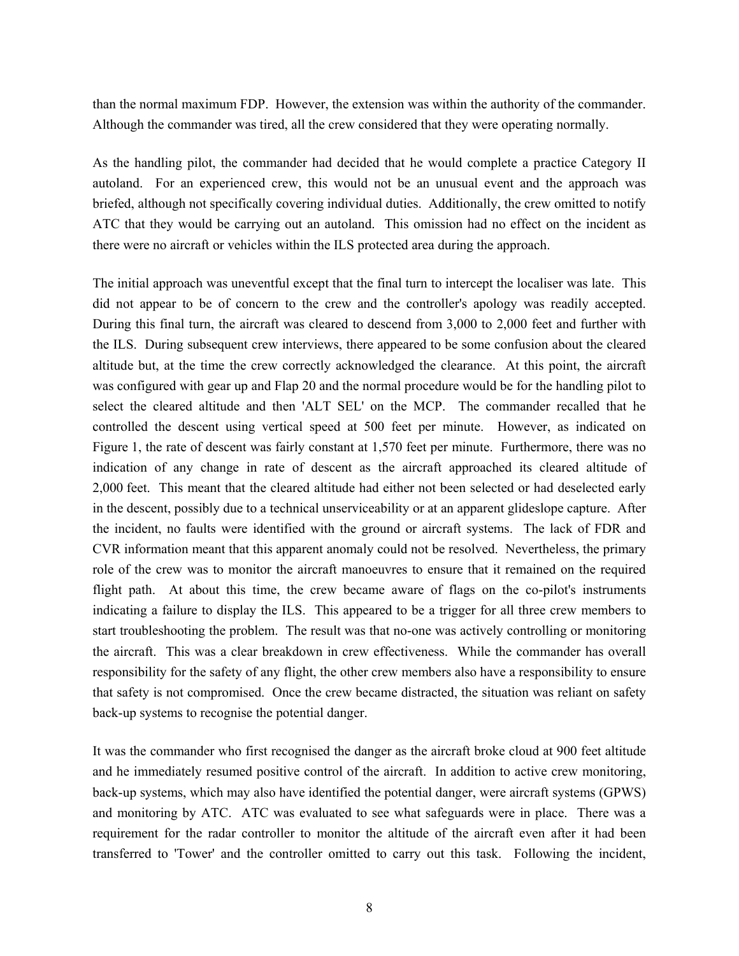than the normal maximum FDP. However, the extension was within the authority of the commander. Although the commander was tired, all the crew considered that they were operating normally.

As the handling pilot, the commander had decided that he would complete a practice Category II autoland. For an experienced crew, this would not be an unusual event and the approach was briefed, although not specifically covering individual duties. Additionally, the crew omitted to notify ATC that they would be carrying out an autoland. This omission had no effect on the incident as there were no aircraft or vehicles within the ILS protected area during the approach.

The initial approach was uneventful except that the final turn to intercept the localiser was late. This did not appear to be of concern to the crew and the controller's apology was readily accepted. During this final turn, the aircraft was cleared to descend from 3,000 to 2,000 feet and further with the ILS. During subsequent crew interviews, there appeared to be some confusion about the cleared altitude but, at the time the crew correctly acknowledged the clearance. At this point, the aircraft was configured with gear up and Flap 20 and the normal procedure would be for the handling pilot to select the cleared altitude and then 'ALT SEL' on the MCP. The commander recalled that he controlled the descent using vertical speed at 500 feet per minute. However, as indicated on Figure 1, the rate of descent was fairly constant at 1,570 feet per minute. Furthermore, there was no indication of any change in rate of descent as the aircraft approached its cleared altitude of 2,000 feet. This meant that the cleared altitude had either not been selected or had deselected early in the descent, possibly due to a technical unserviceability or at an apparent glideslope capture. After the incident, no faults were identified with the ground or aircraft systems. The lack of FDR and CVR information meant that this apparent anomaly could not be resolved. Nevertheless, the primary role of the crew was to monitor the aircraft manoeuvres to ensure that it remained on the required flight path. At about this time, the crew became aware of flags on the co-pilot's instruments indicating a failure to display the ILS. This appeared to be a trigger for all three crew members to start troubleshooting the problem. The result was that no-one was actively controlling or monitoring the aircraft. This was a clear breakdown in crew effectiveness. While the commander has overall responsibility for the safety of any flight, the other crew members also have a responsibility to ensure that safety is not compromised. Once the crew became distracted, the situation was reliant on safety back-up systems to recognise the potential danger.

It was the commander who first recognised the danger as the aircraft broke cloud at 900 feet altitude and he immediately resumed positive control of the aircraft. In addition to active crew monitoring, back-up systems, which may also have identified the potential danger, were aircraft systems (GPWS) and monitoring by ATC. ATC was evaluated to see what safeguards were in place. There was a requirement for the radar controller to monitor the altitude of the aircraft even after it had been transferred to 'Tower' and the controller omitted to carry out this task. Following the incident,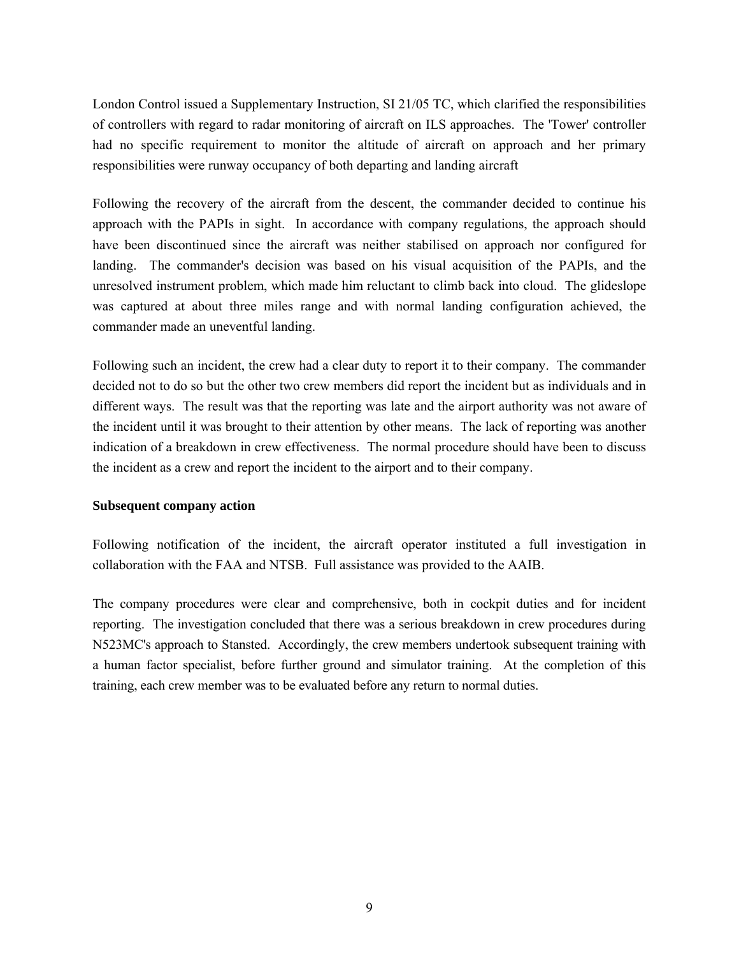London Control issued a Supplementary Instruction, SI 21/05 TC, which clarified the responsibilities of controllers with regard to radar monitoring of aircraft on ILS approaches. The 'Tower' controller had no specific requirement to monitor the altitude of aircraft on approach and her primary responsibilities were runway occupancy of both departing and landing aircraft

Following the recovery of the aircraft from the descent, the commander decided to continue his approach with the PAPIs in sight. In accordance with company regulations, the approach should have been discontinued since the aircraft was neither stabilised on approach nor configured for landing. The commander's decision was based on his visual acquisition of the PAPIs, and the unresolved instrument problem, which made him reluctant to climb back into cloud. The glideslope was captured at about three miles range and with normal landing configuration achieved, the commander made an uneventful landing.

Following such an incident, the crew had a clear duty to report it to their company. The commander decided not to do so but the other two crew members did report the incident but as individuals and in different ways. The result was that the reporting was late and the airport authority was not aware of the incident until it was brought to their attention by other means. The lack of reporting was another indication of a breakdown in crew effectiveness. The normal procedure should have been to discuss the incident as a crew and report the incident to the airport and to their company.

### **Subsequent company action**

Following notification of the incident, the aircraft operator instituted a full investigation in collaboration with the FAA and NTSB. Full assistance was provided to the AAIB.

The company procedures were clear and comprehensive, both in cockpit duties and for incident reporting. The investigation concluded that there was a serious breakdown in crew procedures during N523MC's approach to Stansted. Accordingly, the crew members undertook subsequent training with a human factor specialist, before further ground and simulator training. At the completion of this training, each crew member was to be evaluated before any return to normal duties.